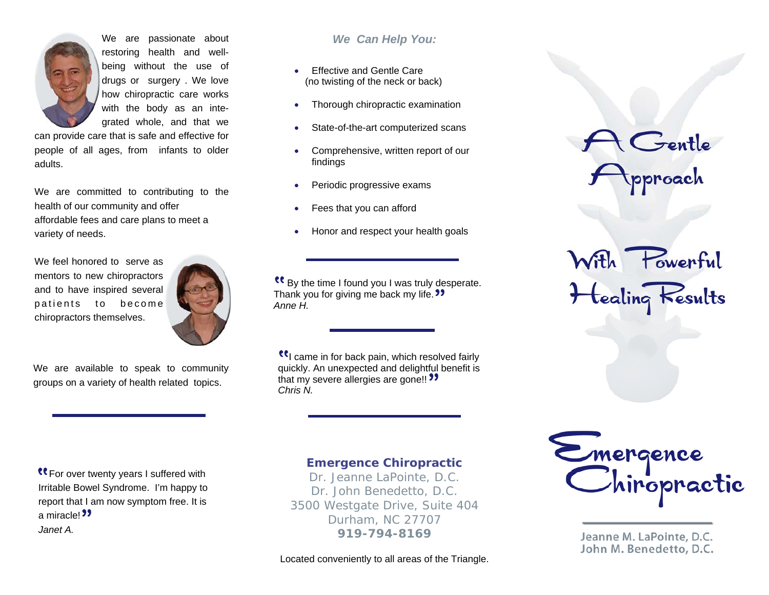

We are passionate about restoring health and wellbeing without the use of drugs or surgery . We love how chiropractic care works with the body as an integrated whole, and that we

can provide care that is safe and effective for people of all ages, from infants to older adults.

We are committed to contributing to the health of our community and offer affordable fees and care plans to meet a variety of needs.

We feel honored to serve as mentors to new chiropractors and to have inspired several patients to become chiropractors themselves.



We are available to speak to community groups on a variety of health related topics.

# *We Can Help You:*

- Effective and Gentle Care (no twisting of the neck or back)
- Thorough chiropractic examination
- State-of-the-art computerized scans
- Comprehensive, written report of our findings
- Periodic progressive exams
- Fees that you can afford
- Honor and respect your health goals

 By the time I found you I was truly desperate. Thank you for giving me back my life. **39** *Anne H.* 

**If** came in for back pain, which resolved fairly quickly. An unexpected and delightful benefit is that my severe allergies are gone!! " *Chris N.*

**K** For over twenty years I suffered with Irritable Bowel Syndrome. I'm happy to report that I am now symptom free. It is a miracle!<sup>99</sup> *Janet A.* 

#### *Emergence Chiropractic*

*Dr. Jeanne LaPointe, D.C. Dr. John Benedetto, D.C. 3500 Westgate Drive, Suite 404 Durham, NC 27707 919-794-8169* 

Located conveniently to all areas of the Triangle.



With Powerful<br>+ tealing Results



Jeanne M. LaPointe, D.C. John M. Benedetto, D.C.